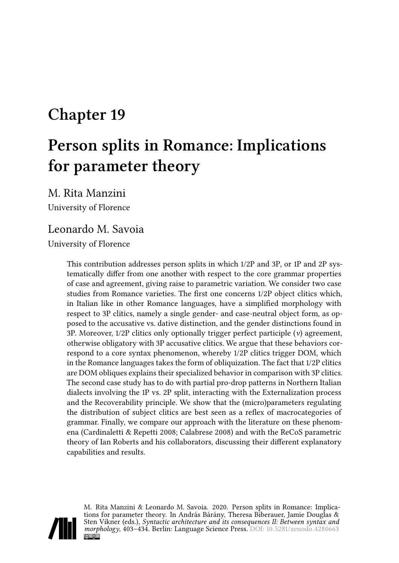# **Chapter 19**

# **Person splits in Romance: Implications for parameter theory**

M. Rita Manzini

University of Florence

### Leonardo M. Savoia

University of Florence

This contribution addresses person splits in which 1/2P and 3P, or 1P and 2P systematically differ from one another with respect to the core grammar properties of case and agreement, giving raise to parametric variation. We consider two case studies from Romance varieties. The first one concerns 1/2P object clitics which, in Italian like in other Romance languages, have a simplified morphology with respect to 3P clitics, namely a single gender- and case-neutral object form, as opposed to the accusative vs. dative distinction, and the gender distinctions found in 3P. Moreover, 1/2P clitics only optionally trigger perfect participle (*v*) agreement, otherwise obligatory with 3P accusative clitics. We argue that these behaviors correspond to a core syntax phenomenon, whereby 1/2P clitics trigger DOM, which in the Romance languages takes the form of obliquization. The fact that 1/2P clitics are DOM obliques explains their specialized behavior in comparison with 3P clitics. The second case study has to do with partial pro-drop patterns in Northern Italian dialects involving the 1P vs. 2P split, interacting with the Externalization process and the Recoverability principle. We show that the (micro)parameters regulating the distribution of subject clitics are best seen as a reflex of macrocategories of grammar. Finally, we compare our approach with the literature on these phenomena([Cardinaletti & Repetti 2008](#page-29-0); [Calabrese 2008\)](#page-29-1) and with the ReCoS parametric theory of Ian Roberts and his collaborators, discussing their different explanatory capabilities and results.



M. Rita Manzini & Leonardo M. Savoia. 2020. Person splits in Romance: Implications for parameter theory. In András Bárány, Theresa Biberauer, Jamie Douglas & Sten Vikner (eds.), *Syntactic architecture and its consequences II: Between syntax and morphology*, 403–434. Berlin: Language Science Press. DOI: [10.5281/zenodo.4280663](https://doi.org/10.5281/zenodo.4280663)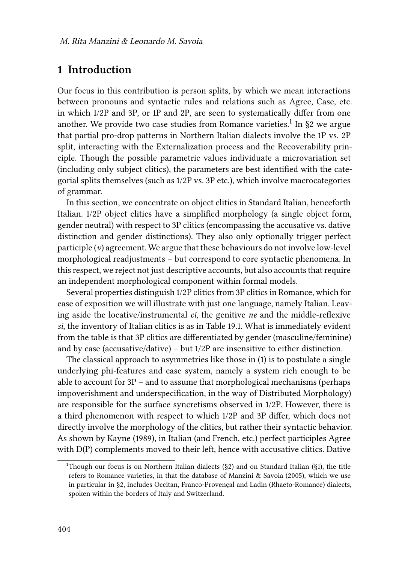# <span id="page-1-0"></span>**1 Introduction**

Our focus in this contribution is person splits, by which we mean interactions between pronouns and syntactic rules and relations such as Agree, Case, etc. in which 1/2P and 3P, or 1P and 2P, are seen to systematically differ from one another.We provide two case studies from Romance varieties. $^1$  In §[2](#page-16-0) we argue that partial pro-drop patterns in Northern Italian dialects involve the 1P vs. 2P split, interacting with the Externalization process and the Recoverability principle. Though the possible parametric values individuate a microvariation set (including only subject clitics), the parameters are best identified with the categorial splits themselves (such as 1/2P vs. 3P etc.), which involve macrocategories of grammar.

In this section, we concentrate on object clitics in Standard Italian, henceforth Italian. 1/2P object clitics have a simplified morphology (a single object form, gender neutral) with respect to 3P clitics (encompassing the accusative vs. dative distinction and gender distinctions). They also only optionally trigger perfect participle (*v*) agreement. We argue that these behaviours do not involve low-level morphological readjustments – but correspond to core syntactic phenomena. In this respect, we reject not just descriptive accounts, but also accounts that require an independent morphological component within formal models.

Several properties distinguish 1/2P clitics from 3P clitics in Romance, which for ease of exposition we will illustrate with just one language, namely Italian. Leaving aside the locative/instrumental *ci*, the genitive *ne* and the middle-reflexive *si*, the inventory of Italian clitics is as in Table [19.1.](#page-2-0) What is immediately evident from the table is that 3P clitics are differentiated by gender (masculine/feminine) and by case (accusative/dative) – but 1/2P are insensitive to either distinction.

The classical approach to asymmetries like those in([1\)](#page-2-1) is to postulate a single underlying phi-features and case system, namely a system rich enough to be able to account for 3P – and to assume that morphological mechanisms (perhaps impoverishment and underspecification, in the way of Distributed Morphology) are responsible for the surface syncretisms observed in 1/2P. However, there is a third phenomenon with respect to which 1/2P and 3P differ, which does not directly involve the morphology of the clitics, but rather their syntactic behavior. As shown by [Kayne \(1989\),](#page-29-2) in Italian (and French, etc.) perfect participles Agree with D(P) complements moved to their left, hence with accusative clitics. Dative

<sup>&</sup>lt;sup>1</sup>Though our focus is on Northern Italian dialects ( $\S$ [2\)](#page-16-0) and on Standard Italian ( $\S$ [1\)](#page-1-0), the title refers to Romance varieties, in that the database of [Manzini & Savoia \(2005\),](#page-30-0) which we use in particular in§[2](#page-16-0), includes Occitan, Franco-Provençal and Ladin (Rhaeto-Romance) dialects, spoken within the borders of Italy and Switzerland.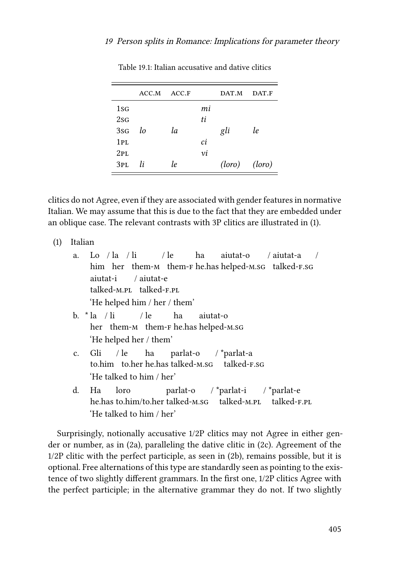<span id="page-2-0"></span>

|                 | ACC.M | ACC.F |    | DAT.M             | DAT.F |
|-----------------|-------|-------|----|-------------------|-------|
| $1sfG}$         |       |       | mi |                   |       |
| 2sG             |       |       | ti |                   |       |
| 3sG             | lo    | la    |    | gli               | le    |
| 1PL             |       |       | ci |                   |       |
| 2PL             |       |       | νi |                   |       |
| 3 <sub>PL</sub> | li    | le.   |    | $(loro)$ $(loro)$ |       |

Table 19.1: Italian accusative and dative clitics

clitics do not Agree, even if they are associated with gender features in normative Italian. We may assume that this is due to the fact that they are embedded under an oblique case. The relevant contrasts with 3P clitics are illustrated in [\(1](#page-2-1)).

<span id="page-2-1"></span>(1) Italian

- a. Lo / la / li him her them-m them-Fhe.hashelped-m.sg talked-F.sg / le ha aiutat-o / aiutat-a / aiutat-i talked-m.pl talked-f.pl / aiutat-e 'He helped him / her / them' b. \* la / li her them-м them-ғ he.has helped-м.sG  $/$  le ha aiutat-o
- c. Gli to.him to.her he.has talked-m.sg / le ha parlat-o / \*parlat-a talked-f.sg 'He talked to him / her'

'He helped her / them'

d. Ha he.has to.him/to.her talked-m.sg loro parlat-o / \*parlat-i talked-m.pl / \*parlat-e talked-f.pl 'He talked to him / her'

Surprisingly, notionally accusative 1/2P clitics may not Agree in either gender or number, as in [\(2a](#page-3-0)), paralleling the dative clitic in [\(2c](#page-3-0)). Agreement of the 1/2P clitic with the perfect participle, as seen in [\(2b](#page-3-0)), remains possible, but it is optional. Free alternations of this type are standardly seen as pointing to the existence of two slightly different grammars. In the first one, 1/2P clitics Agree with the perfect participle; in the alternative grammar they do not. If two slightly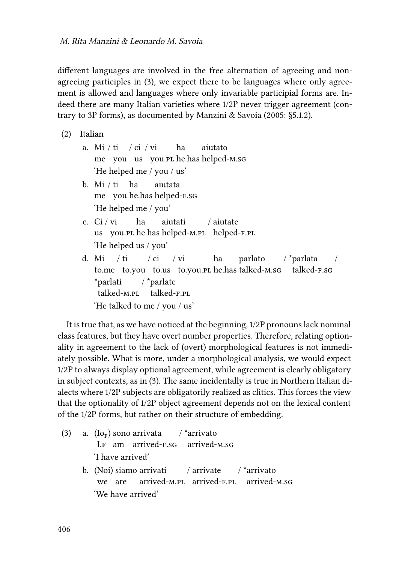different languages are involved in the free alternation of agreeing and nonagreeing participles in([3\)](#page-3-1), we expect there to be languages where only agreement is allowed and languages where only invariable participial forms are. Indeed there are many Italian varieties where 1/2P never trigger agreement (contrary to 3P forms), as documented by [Manzini & Savoia \(2005:](#page-30-0) §5.1.2).

<span id="page-3-0"></span>(2) Italian

- a. Mi / ti / ci / vi me you us you.pl he.has helped-m.sg ha aiutato 'He helped me / you / us'
- b. Mi / ti me you he.has helped-f.sg ha aiutata 'He helped me / you'
- c. Ci / vi us you.pl he.has helped-m.pl helped-f.pl ha aiutati / aiutate 'He helped us / you'
- d. Mi to.me to.you to.us to.you.pl he.has talked-m.sg / ti  $/$  ci / vi ha parlato / \*parlata talked-f.sg / \*parlati talked-m.pl / \*parlate talked-f.pl 'He talked to me / you / us'

It is true that, as we have noticed at the beginning, 1/2P pronouns lack nominal class features, but they have overt number properties. Therefore, relating optionality in agreement to the lack of (overt) morphological features is not immediately possible. What is more, under a morphological analysis, we would expect 1/2P to always display optional agreement, while agreement is clearly obligatory in subject contexts, as in [\(3\)](#page-3-1). The same incidentally is true in Northern Italian dialects where 1/2P subjects are obligatorily realized as clitics. This forces the view that the optionality of 1/2P object agreement depends not on the lexical content of the 1/2P forms, but rather on their structure of embedding.

<span id="page-3-1"></span>(3) a.  $(Io<sub>F</sub>)$  sono arrivata I.f am arrived-f.sg / \*arrivato arrived-m.sg 'I have arrived' b. (Noi) siamo arrivati we are arrived-m.pl arrived-f.pl / arrivate / \*arrivato arrived-m.sg 'We have arrived'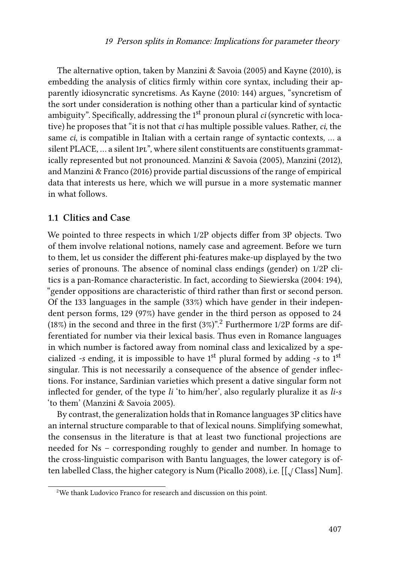The alternative option, taken by [Manzini & Savoia \(2005\)](#page-30-0) and [Kayne \(2010\)](#page-29-3), is embedding the analysis of clitics firmly within core syntax, including their apparently idiosyncratic syncretisms. As [Kayne \(2010:](#page-29-3) 144) argues, "syncretism of the sort under consideration is nothing other than a particular kind of syntactic ambiguity". Specifically, addressing the 1<sup>st</sup> pronoun plural *ci* (syncretic with locative) he proposes that "it is not that *ci* has multiple possible values. Rather, *ci*, the same *ci*, is compatible in Italian with a certain range of syntactic contexts, … a silent PLACE, ... a silent 1pl", where silent constituents are constituents grammatically represented but not pronounced. [Manzini & Savoia \(2005\),](#page-30-0) [Manzini \(2012\)](#page-30-1), and [Manzini & Franco \(2016\)](#page-30-2) provide partial discussions of the range of empirical data that interests us here, which we will pursue in a more systematic manner in what follows.

#### **1.1 Clitics and Case**

We pointed to three respects in which 1/2P objects differ from 3P objects. Two of them involve relational notions, namely case and agreement. Before we turn to them, let us consider the different phi-features make-up displayed by the two series of pronouns. The absence of nominal class endings (gender) on 1/2P clitics is a pan-Romance characteristic. In fact, according to [Siewierska \(2004](#page-31-0): 194), "gender oppositions are characteristic of third rather than first or second person. Of the 133 languages in the sample (33%) which have gender in their independent person forms, 129 (97%) have gender in the third person as opposed to 24 (18%) in the second and three in the first  $(3\%)$ ".<sup>2</sup> Furthermore 1/2P forms are differentiated for number via their lexical basis. Thus even in Romance languages in which number is factored away from nominal class and lexicalized by a specialized *-s* ending, it is impossible to have 1st plural formed by adding -*s* to 1st singular. This is not necessarily a consequence of the absence of gender inflections. For instance, Sardinian varieties which present a dative singular form not inflected for gender, of the type *li* 'to him/her', also regularly pluralize it as *li-s* 'to them'([Manzini & Savoia 2005\)](#page-30-0).

By contrast, the generalization holds that in Romance languages 3P clitics have an internal structure comparable to that of lexical nouns. Simplifying somewhat, the consensus in the literature is that at least two functional projections are needed for Ns – corresponding roughly to gender and number. In homage to the cross-linguistic comparison with Bantu languages, the lower category is of-ten labelled Class, the higher category is Num [\(Picallo 2008](#page-30-3)), i.e. [[ $\sqrt{\rm{Class}}$ ] Num].

<sup>2</sup>We thank Ludovico Franco for research and discussion on this point.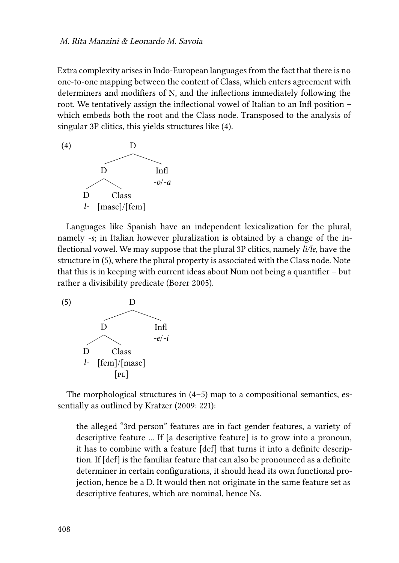Extra complexity arises in Indo-European languages from the fact that there is no one-to-one mapping between the content of Class, which enters agreement with determiners and modifiers of N, and the inflections immediately following the root. We tentatively assign the inflectional vowel of Italian to an Infl position – which embeds both the root and the Class node. Transposed to the analysis of singular 3P clitics, this yields structures like([4](#page-5-0)).

<span id="page-5-0"></span>

Languages like Spanish have an independent lexicalization for the plural, namely *-s*; in Italian however pluralization is obtained by a change of the inflectional vowel. We may suppose that the plural 3P clitics, namely *li/le*, have the structure in [\(5](#page-5-1)), where the plural property is associated with the Class node. Note that this is in keeping with current ideas about Num not being a quantifier – but rather a divisibility predicate [\(Borer 2005\)](#page-29-4).

<span id="page-5-1"></span>

Themorphological structures in  $(4-5)$  $(4-5)$  map to a compositional semantics, essentially as outlined by [Kratzer \(2009](#page-29-5): 221):

the alleged "3rd person" features are in fact gender features, a variety of descriptive feature ... If [a descriptive feature] is to grow into a pronoun, it has to combine with a feature [def] that turns it into a definite description. If [def] is the familiar feature that can also be pronounced as a definite determiner in certain configurations, it should head its own functional projection, hence be a D. It would then not originate in the same feature set as descriptive features, which are nominal, hence Ns.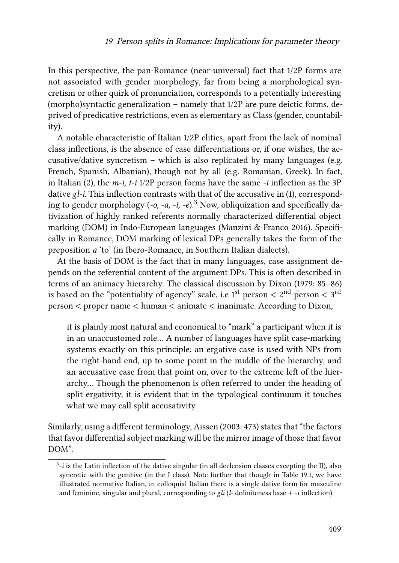In this perspective, the pan-Romance (near-universal) fact that 1/2P forms are not associated with gender morphology, far from being a morphological syncretism or other quirk of pronunciation, corresponds to a potentially interesting (morpho)syntactic generalization – namely that 1/2P are pure deictic forms, deprived of predicative restrictions, even as elementary as Class (gender, countability).

A notable characteristic of Italian 1/2P clitics, apart from the lack of nominal class inflections, is the absence of case differentiations or, if one wishes, the accusative/dative syncretism – which is also replicated by many languages (e.g. French, Spanish, Albanian), though not by all (e.g. Romanian, Greek). In fact, in Italian [\(2](#page-3-0)), the *m-i, t-i* 1/2P person forms have the same *-i* inflection as the 3P dative *gl-i*. This inflection contrasts with that of the accusative in([1\)](#page-2-1), corresponding to gender morphology (*-o, -a, -i, -e*).<sup>3</sup> Now, obliquization and specifically dativization of highly ranked referents normally characterized differential object marking (DOM) in Indo-European languages [\(Manzini & Franco 2016\)](#page-30-2). Specifically in Romance, DOM marking of lexical DPs generally takes the form of the preposition *a* 'to' (in Ibero-Romance, in Southern Italian dialects).

At the basis of DOM is the fact that in many languages, case assignment depends on the referential content of the argument DPs. This is often described in terms of an animacy hierarchy. The classical discussion by [Dixon \(1979:](#page-29-6) 85–86) is based on the "potentiality of agency" scale, i.e 1 $^{\rm{st}}$  person  $<$  2 $^{\rm{nd}}$  person  $<$  3 $^{\rm{rd}}$ person < proper name < human < animate < inanimate. According to Dixon,

it is plainly most natural and economical to "mark" a participant when it is in an unaccustomed role… A number of languages have split case-marking systems exactly on this principle: an ergative case is used with NPs from the right-hand end, up to some point in the middle of the hierarchy, and an accusative case from that point on, over to the extreme left of the hierarchy… Though the phenomenon is often referred to under the heading of split ergativity, it is evident that in the typological continuum it touches what we may call split accusativity.

Similarly, using a different terminology, [Aissen \(2003:](#page-28-0) 473) states that "the factors that favor differential subject marking will be the mirror image of those that favor DOM".

<sup>3</sup> *-i* is the Latin inflection of the dative singular (in all declension classes excepting the II), also syncretic with the genitive (in the I class). Note further that though in Table [19.1](#page-2-0), we have illustrated normative Italian, in colloquial Italian there is a single dative form for masculine and feminine, singular and plural, corresponding to *gli* (*l-* definiteness base + -*i* inflection).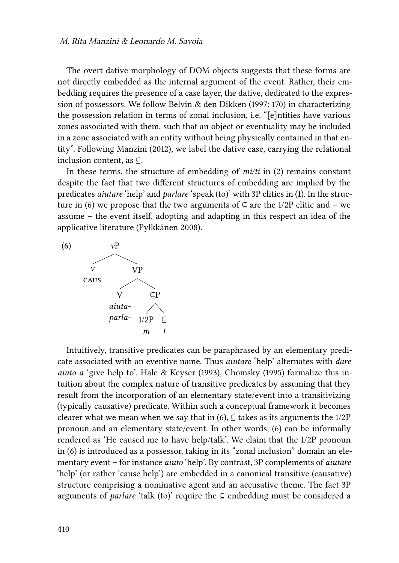The overt dative morphology of DOM objects suggests that these forms are not directly embedded as the internal argument of the event. Rather, their embedding requires the presence of a case layer, the dative, dedicated to the expression of possessors. We follow [Belvin & den Dikken \(1997:](#page-28-1) 170) in characterizing the possession relation in terms of zonal inclusion, i.e. "[e]ntities have various zones associated with them, such that an object or eventuality may be included in a zone associated with an entity without being physically contained in that entity". Following [Manzini \(2012\),](#page-30-1) we label the dative case, carrying the relational inclusion content, as ⊆.

In these terms, the structure of embedding of *mi/ti* in([2](#page-3-0)) remains constant despite the fact that two different structures of embedding are implied by the predicates *aiutare* 'help' and *parlare* 'speak (to)' with 3P clitics in([1\)](#page-2-1). In the struc-turein ([6\)](#page-7-0) we propose that the two arguments of  $\subseteq$  are the 1/2P clitic and – we assume – the event itself, adopting and adapting in this respect an idea of the applicative literature([Pylkkänen 2008\)](#page-30-4).

<span id="page-7-0"></span>

Intuitively, transitive predicates can be paraphrased by an elementary predicate associated with an eventive name. Thus *aiutare* 'help' alternates with *dare aiuto a* 'give help to'. [Hale & Keyser \(1993\),](#page-29-7) [Chomsky \(1995\)](#page-29-8) formalize this intuition about the complex nature of transitive predicates by assuming that they result from the incorporation of an elementary state/event into a transitivizing (typically causative) predicate. Within such a conceptual framework it becomes clearer what we mean when we say that in [\(6](#page-7-0)),  $\subseteq$  takes as its arguments the 1/2P pronoun and an elementary state/event. In other words,([6](#page-7-0)) can be informally rendered as 'He caused me to have help/talk'. We claim that the 1/2P pronoun in [\(6\)](#page-7-0) is introduced as a possessor, taking in its "zonal inclusion" domain an elementary event – for instance *aiuto* 'help'. By contrast, 3P complements of *aiutare* 'help' (or rather 'cause help') are embedded in a canonical transitive (causative) structure comprising a nominative agent and an accusative theme. The fact 3P arguments of *parlare* 'talk (to)' require the  $\subseteq$  embedding must be considered a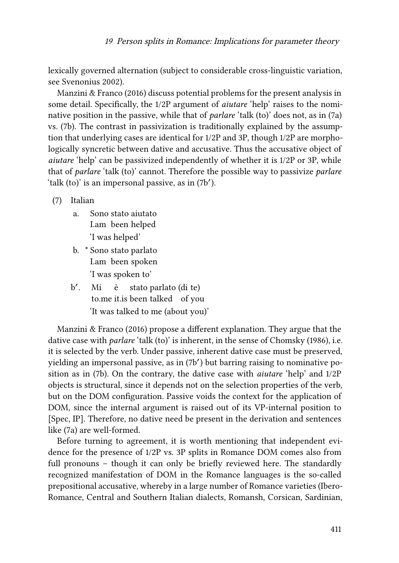lexically governed alternation (subject to considerable cross-linguistic variation, see [Svenonius 2002\)](#page-31-1).

[Manzini & Franco \(2016\)](#page-30-2) discuss potential problems for the present analysis in some detail. Specifically, the 1/2P argument of *aiutare* 'help' raises to the nominative position in the passive, while that of *parlare* 'talk (to)' does not, as in [\(7a](#page-8-0)) vs.([7](#page-8-0)b). The contrast in passivization is traditionally explained by the assumption that underlying cases are identical for 1/2P and 3P, though 1/2P are morphologically syncretic between dative and accusative. Thus the accusative object of *aiutare* 'help' can be passivized independently of whether it is 1/2P or 3P, while that of *parlare* 'talk (to)' cannot. Therefore the possible way to passivize *parlare* 'talk (to)' is an impersonal passive, as in [\(7b](#page-8-0)').

<span id="page-8-0"></span>(7) Italian

- a. Sono stato aiutato I.am been helped 'I was helped'
- b. \* Sono stato parlato I.am been spoken 'I was spoken to'
- b ′ . Mi to.me it.is been talked of you è stato parlato (di te) 'It was talked to me (about you)'

[Manzini & Franco \(2016\)](#page-30-2) propose a different explanation. They argue that the dative case with *parlare* 'talk (to)' is inherent, in the sense of [Chomsky \(1986\),](#page-29-9) i.e. it is selected by the verb. Under passive, inherent dative case must be preserved, yielding an impersonal passive, as in([7b](#page-8-0) ′ ) but barring raising to nominative position as in([7b](#page-8-0)). On the contrary, the dative case with *aiutare* 'help' and 1/2P objects is structural, since it depends not on the selection properties of the verb, but on the DOM configuration. Passive voids the context for the application of DOM, since the internal argument is raised out of its VP-internal position to [Spec, IP]. Therefore, no dative need be present in the derivation and sentences like [\(7](#page-8-0)a) are well-formed.

Before turning to agreement, it is worth mentioning that independent evidence for the presence of 1/2P vs. 3P splits in Romance DOM comes also from full pronouns – though it can only be briefly reviewed here. The standardly recognized manifestation of DOM in the Romance languages is the so-called prepositional accusative, whereby in a large number of Romance varieties (Ibero-Romance, Central and Southern Italian dialects, Romansh, Corsican, Sardinian,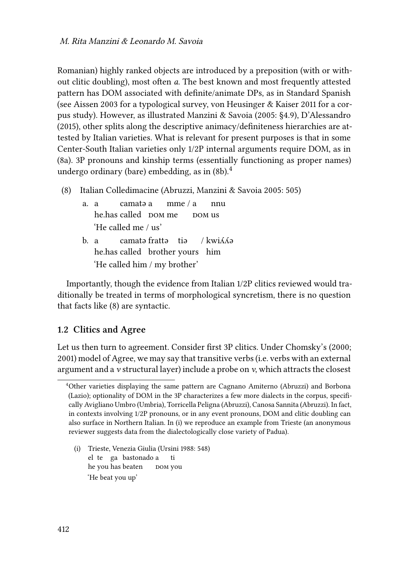Romanian) highly ranked objects are introduced by a preposition (with or without clitic doubling), most often *a*. The best known and most frequently attested pattern has DOM associated with definite/animate DPs, as in Standard Spanish (see [Aissen 2003](#page-28-0) for a typological survey, [von Heusinger & Kaiser 2011](#page-31-2) for a corpus study). However, as illustrated [Manzini & Savoia \(2005](#page-30-0): §4.9), [D'Alessandro](#page-29-10) [\(2015\)](#page-29-10), other splits along the descriptive animacy/definiteness hierarchies are attested by Italian varieties. What is relevant for present purposes is that in some Center-South Italian varieties only 1/2P internal arguments require DOM, as in [\(8](#page-9-0)a). 3P pronouns and kinship terms (essentially functioning as proper names) undergo ordinary (bare) embedding, as in([8b](#page-9-0)).<sup>4</sup>

- <span id="page-9-0"></span>(8) Italian Colledimacine (Abruzzi, [Manzini & Savoia 2005:](#page-30-0) 505)
	- a. a he.has called DOM me camatə a mme / a bom us nnu 'He called me / us'
	- b. a he.has called brother yours him camatə frattə tiə  $/kwi\delta\phi$ 'He called him / my brother'

Importantly, though the evidence from Italian 1/2P clitics reviewed would traditionally be treated in terms of morphological syncretism, there is no question that facts like([8\)](#page-9-0) are syntactic.

## **1.2 Clitics and Agree**

Let us then turn to agreement. Consider first 3P clitics. Under [Chomsky'](#page-29-11)s([2000;](#page-29-11) [2001](#page-29-12)) model of Agree, we may say that transitive verbs (i.e. verbs with an external argument and a *v* structural layer) include a probe on *v*, which attracts the closest

(i) Trieste, Venezia Giulia [\(Ursini 1988](#page-31-3): 548) el te ga bastonado a he you has beaten bom you ti 'He beat you up'

<sup>4</sup>Other varieties displaying the same pattern are Cagnano Amiterno (Abruzzi) and Borbona (Lazio); optionality of DOM in the 3P characterizes a few more dialects in the corpus, specifically Avigliano Umbro (Umbria), Torricella Peligna (Abruzzi), Canosa Sannita (Abruzzi). In fact, in contexts involving 1/2P pronouns, or in any event pronouns, DOM and clitic doubling can also surface in Northern Italian. In (i) we reproduce an example from Trieste (an anonymous reviewer suggests data from the dialectologically close variety of Padua).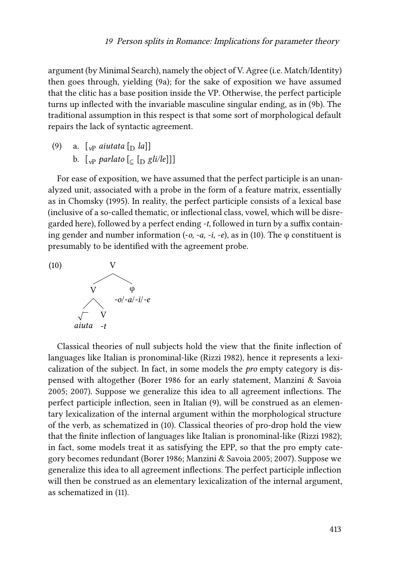argument (by Minimal Search), namely the object of V. Agree (i.e. Match/Identity) then goes through, yielding [\(9a](#page-10-0)); for the sake of exposition we have assumed that the clitic has a base position inside the VP. Otherwise, the perfect participle turns up inflected with the invariable masculine singular ending, as in [\(9](#page-10-0)b). The traditional assumption in this respect is that some sort of morphological default repairs the lack of syntactic agreement.

<span id="page-10-0"></span>(9) a.  $\lceil v \rceil$  *aiutata*  $\lceil v \rceil$  *la*]] b.  $\left[\begin{array}{cc} \sqrt{p} & \frac{p}{p} \\ \sqrt{p} & \frac{p}{p} \end{array}\right]$ 

For ease of exposition, we have assumed that the perfect participle is an unanalyzed unit, associated with a probe in the form of a feature matrix, essentially as in [Chomsky \(1995\).](#page-29-8) In reality, the perfect participle consists of a lexical base (inclusive of a so-called thematic, or inflectional class, vowel, which will be disregarded here), followed by a perfect ending *-t*, followed in turn by a suffix containinggender and number information  $(-o, -a, -i, -e)$ , as in ([10](#page-10-1)). The  $\varphi$  constituent is presumably to be identified with the agreement probe.

<span id="page-10-1"></span> $(10)$ 



Classical theories of null subjects hold the view that the finite inflection of languages like Italian is pronominal-like [\(Rizzi 1982\)](#page-30-5), hence it represents a lexicalization of the subject. In fact, in some models the *pro* empty category is dispensed with altogether [\(Borer 1986](#page-29-13) for an early statement, [Manzini & Savoia](#page-30-0) [2005;](#page-30-0) [2007](#page-30-6)). Suppose we generalize this idea to all agreement inflections. The perfect participle inflection, seen in Italian [\(9\)](#page-10-0), will be construed as an elementary lexicalization of the internal argument within the morphological structure of the verb, as schematized in([10](#page-10-1)). Classical theories of pro-drop hold the view that the finite inflection of languages like Italian is pronominal-like([Rizzi 1982](#page-30-5)); in fact, some models treat it as satisfying the EPP, so that the pro empty category becomes redundant([Borer 1986](#page-29-13); [Manzini & Savoia 2005](#page-30-0); [2007](#page-30-6)). Suppose we generalize this idea to all agreement inflections. The perfect participle inflection will then be construed as an elementary lexicalization of the internal argument, as schematized in [\(11](#page-11-0)).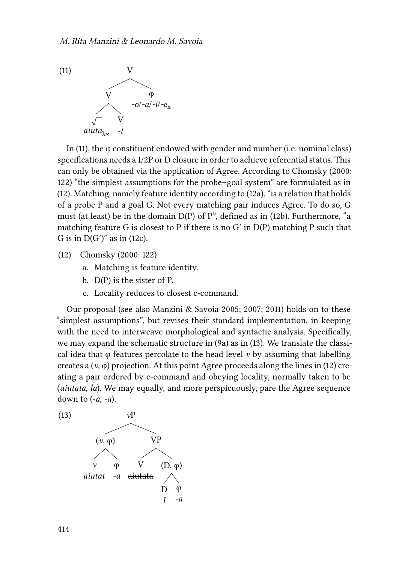<span id="page-11-0"></span>

In [\(11\)](#page-11-0), the φ constituent endowed with gender and number (i.e. nominal class) specifications needs a 1/2P or D closure in order to achieve referential status. This can only be obtained via the application of Agree. According to [Chomsky \(2000](#page-29-11): 122) "the simplest assumptions for the probe–goal system" are formulated as in [\(12\)](#page-11-1). Matching, namely feature identity according to [\(12](#page-11-1)a), "is a relation that holds of a probe P and a goal G. Not every matching pair induces Agree. To do so, G must (at least) be in the domain D(P) of P", defined as in([12b](#page-11-1)). Furthermore, "a matching feature G is closest to P if there is no G' in D(P) matching P such that G is in  $D(G')''$  as in [\(12](#page-11-1)c).

- <span id="page-11-1"></span>(12) [Chomsky \(2000:](#page-29-11) 122)
	- a. Matching is feature identity.
	- b. D(P) is the sister of P.
	- c. Locality reduces to closest c-command.

Our proposal (see also [Manzini & Savoia 2005;](#page-30-0) [2007](#page-30-6); [2011\)](#page-30-7) holds on to these "simplest assumptions", but revises their standard implementation, in keeping with the need to interweave morphological and syntactic analysis. Specifically, we may expand the schematic structure in([9a](#page-10-0)) as in [\(13](#page-11-2)). We translate the classical idea that φ features percolate to the head level *v* by assuming that labelling createsa  $(v, \varphi)$  projection. At this point Agree proceeds along the lines in ([12\)](#page-11-1) creating a pair ordered by c-command and obeying locality, normally taken to be (*aiutata*, *la*). We may equally, and more perspicuously, pare the Agree sequence down to (-*a, -a*).

<span id="page-11-2"></span>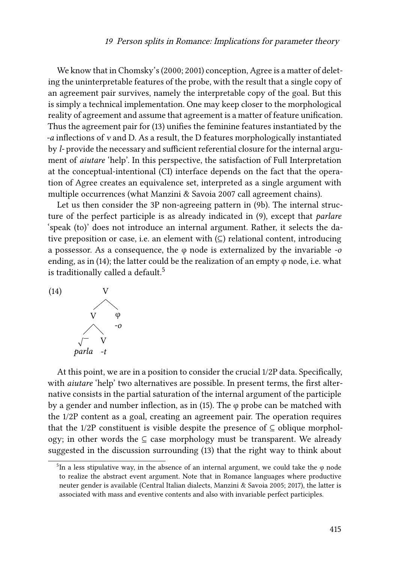We know that in [Chomsky](#page-29-11)'s([2000](#page-29-11); [2001](#page-29-12)) conception, Agree is a matter of deleting the uninterpretable features of the probe, with the result that a single copy of an agreement pair survives, namely the interpretable copy of the goal. But this is simply a technical implementation. One may keep closer to the morphological reality of agreement and assume that agreement is a matter of feature unification. Thus the agreement pair for([13\)](#page-11-2) unifies the feminine features instantiated by the *-a* inflections of *v* and D. As a result, the D features morphologically instantiated by *l-* provide the necessary and sufficient referential closure for the internal argument of *aiutare* 'help'. In this perspective, the satisfaction of Full Interpretation at the conceptual-intentional (CI) interface depends on the fact that the operation of Agree creates an equivalence set, interpreted as a single argument with multiple occurrences (what [Manzini & Savoia 2007](#page-30-6) call agreement chains).

Let us then consider the 3P non-agreeing pattern in([9](#page-10-0)b). The internal structure of the perfect participle is as already indicated in([9\)](#page-10-0), except that *parlare* 'speak (to)' does not introduce an internal argument. Rather, it selects the dative preposition or case, i.e. an element with  $(\subseteq)$  relational content, introducing a possessor. As a consequence, the φ node is externalized by the invariable *-o* ending, as in([14\)](#page-12-0); the latter could be the realization of an empty φ node, i.e. what is traditionally called a default.<sup>5</sup>

<span id="page-12-0"></span>

At this point, we are in a position to consider the crucial 1/2P data. Specifically, with *aiutare* 'help' two alternatives are possible. In present terms, the first alternative consists in the partial saturation of the internal argument of the participle bya gender and number inflection, as in ([15](#page-13-0)). The  $\varphi$  probe can be matched with the 1/2P content as a goal, creating an agreement pair. The operation requires that the 1/2P constituent is visible despite the presence of  $\subseteq$  oblique morphology; in other words the ⊆ case morphology must be transparent. We already suggested in the discussion surrounding [\(13](#page-11-2)) that the right way to think about

<sup>&</sup>lt;sup>5</sup>In a less stipulative way, in the absence of an internal argument, we could take the  $\varphi$  node to realize the abstract event argument. Note that in Romance languages where productive neuter gender is available (Central Italian dialects, [Manzini & Savoia 2005](#page-30-0); [2017\)](#page-30-8), the latter is associated with mass and eventive contents and also with invariable perfect participles.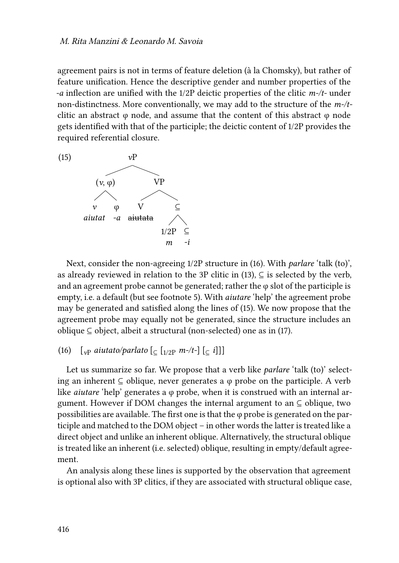agreement pairs is not in terms of feature deletion (à la Chomsky), but rather of feature unification. Hence the descriptive gender and number properties of the *-a* inflection are unified with the 1/2P deictic properties of the clitic *m-/t-* under non-distinctness. More conventionally, we may add to the structure of the *m-/t*clitic an abstract  $\varphi$  node, and assume that the content of this abstract  $\varphi$  node gets identified with that of the participle; the deictic content of 1/2P provides the required referential closure.

<span id="page-13-0"></span>

Next, consider the non-agreeing 1/2P structure in([16\)](#page-13-1). With *parlare* 'talk (to)', asalready reviewed in relation to the 3P clitic in ([13\)](#page-11-2),  $\subseteq$  is selected by the verb, and an agreement probe cannot be generated; rather the  $\varphi$  slot of the participle is empty, i.e. a default (but see footnote [5\)](#page-11-2). With *aiutare* 'help' the agreement probe may be generated and satisfied along the lines of([15\)](#page-13-0). We now propose that the agreement probe may equally not be generated, since the structure includes an oblique ⊆ object, albeit a structural (non-selected) one as in [\(17\)](#page-14-0).

<span id="page-13-1"></span>(16)  $[\int_{v}$  *aiutato/parlato*  $[\int_{v}$   $[\int_{1/2}$  *m-/t-*]  $[\int_{v}$  *i*]]]

Let us summarize so far. We propose that a verb like *parlare* 'talk (to)' selecting an inherent  $\subseteq$  oblique, never generates a  $\varphi$  probe on the participle. A verb like *aiutare* 'help' generates a φ probe, when it is construed with an internal argument. However if DOM changes the internal argument to an ⊆ oblique, two possibilities are available. The first one is that the  $\varphi$  probe is generated on the participle and matched to the DOM object – in other words the latter is treated like a direct object and unlike an inherent oblique. Alternatively, the structural oblique is treated like an inherent (i.e. selected) oblique, resulting in empty/default agreement.

An analysis along these lines is supported by the observation that agreement is optional also with 3P clitics, if they are associated with structural oblique case,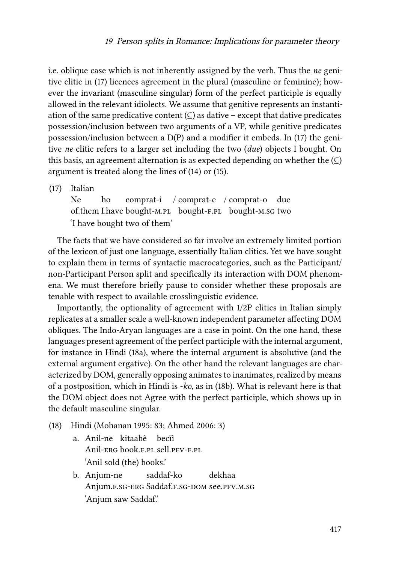i.e. oblique case which is not inherently assigned by the verb. Thus the *ne* genitive clitic in [\(17](#page-14-0)) licences agreement in the plural (masculine or feminine); however the invariant (masculine singular) form of the perfect participle is equally allowed in the relevant idiolects. We assume that genitive represents an instantiation of the same predicative content  $(\subseteq)$  as dative – except that dative predicates possession/inclusion between two arguments of a VP, while genitive predicates possession/inclusion between a D(P) and a modifier it embeds. In([17\)](#page-14-0) the genitive *ne* clitic refers to a larger set including the two (*due*) objects I bought. On this basis, an agreement alternation is as expected depending on whether the  $(\subseteq)$ argument is treated along the lines of([14\)](#page-12-0) or [\(15](#page-13-0)).

<span id="page-14-0"></span>(17) Italian

Ne of.them I.have bought-M.PL bought-F.PL bought-M.SG two ho comprat-i / comprat-e / comprat-o due 'I have bought two of them'

The facts that we have considered so far involve an extremely limited portion of the lexicon of just one language, essentially Italian clitics. Yet we have sought to explain them in terms of syntactic macrocategories, such as the Participant/ non-Participant Person split and specifically its interaction with DOM phenomena. We must therefore briefly pause to consider whether these proposals are tenable with respect to available crosslinguistic evidence.

Importantly, the optionality of agreement with 1/2P clitics in Italian simply replicates at a smaller scale a well-known independent parameter affecting DOM obliques. The Indo-Aryan languages are a case in point. On the one hand, these languages present agreement of the perfect participle with the internal argument, for instance in Hindi [\(18](#page-14-1)a), where the internal argument is absolutive (and the external argument ergative). On the other hand the relevant languages are characterized by DOM, generally opposing animates to inanimates, realized by means of a postposition, which in Hindi is -*ko*, as in [\(18](#page-14-1)b). What is relevant here is that the DOM object does not Agree with the perfect participle, which shows up in the default masculine singular.

- <span id="page-14-1"></span>(18) Hindi([Mohanan 1995](#page-30-9): 83; [Ahmed 2006](#page-28-2): 3)
	- a. Anil-ne kitaabẽ becĩĩ Anil-erg book.f.pl sell.pfv-f.pl 'Anil sold (the) books.'
	- b. Anjum-ne Anjum.f.sg-erg Saddaf.f.sg-dom see.pfv.m.sg saddaf-ko dekhaa 'Anjum saw Saddaf.'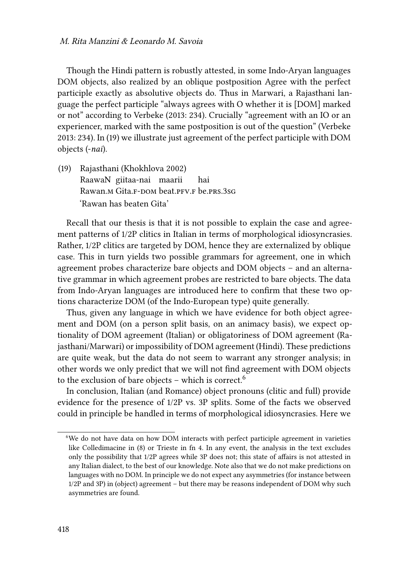Though the Hindi pattern is robustly attested, in some Indo-Aryan languages DOM objects, also realized by an oblique postposition Agree with the perfect participle exactly as absolutive objects do. Thus in Marwari, a Rajasthani language the perfect participle "always agrees with O whether it is [DOM] marked or not" according to [Verbeke \(2013](#page-31-4): 234). Crucially "agreement with an IO or an experiencer, marked with the same postposition is out of the question"([Verbeke](#page-31-4) [2013](#page-31-4): 234). In([19\)](#page-15-0) we illustrate just agreement of the perfect participle with DOM objects (-*nai*).

<span id="page-15-0"></span>(19) Rajasthani([Khokhlova 2002\)](#page-29-14) RaawaN giitaa-nai maarii Rawan.m Gita.ғ-dom beat.pғv.ғ be.prs.3sg hai 'Rawan has beaten Gita'

Recall that our thesis is that it is not possible to explain the case and agreement patterns of 1/2P clitics in Italian in terms of morphological idiosyncrasies. Rather, 1/2P clitics are targeted by DOM, hence they are externalized by oblique case. This in turn yields two possible grammars for agreement, one in which agreement probes characterize bare objects and DOM objects – and an alternative grammar in which agreement probes are restricted to bare objects. The data from Indo-Aryan languages are introduced here to confirm that these two options characterize DOM (of the Indo-European type) quite generally.

Thus, given any language in which we have evidence for both object agreement and DOM (on a person split basis, on an animacy basis), we expect optionality of DOM agreement (Italian) or obligatoriness of DOM agreement (Rajasthani/Marwari) or impossibility of DOM agreement (Hindi). These predictions are quite weak, but the data do not seem to warrant any stronger analysis; in other words we only predict that we will not find agreement with DOM objects to the exclusion of bare objects – which is correct.<sup>6</sup>

In conclusion, Italian (and Romance) object pronouns (clitic and full) provide evidence for the presence of 1/2P vs. 3P splits. Some of the facts we observed could in principle be handled in terms of morphological idiosyncrasies. Here we

<sup>6</sup>We do not have data on how DOM interacts with perfect participle agreement in varieties like Colledimacine in [\(8\)](#page-9-0) or Trieste in fn 4. In any event, the analysis in the text excludes only the possibility that 1/2P agrees while 3P does not; this state of affairs is not attested in any Italian dialect, to the best of our knowledge. Note also that we do not make predictions on languages with no DOM. In principle we do not expect any asymmetries (for instance between 1/2P and 3P) in (object) agreement – but there may be reasons independent of DOM why such asymmetries are found.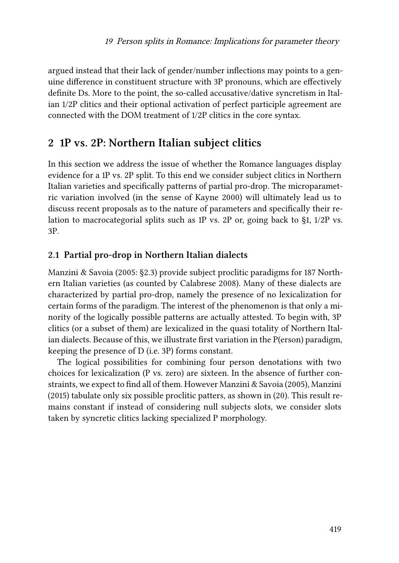argued instead that their lack of gender/number inflections may points to a genuine difference in constituent structure with 3P pronouns, which are effectively definite Ds. More to the point, the so-called accusative/dative syncretism in Italian 1/2P clitics and their optional activation of perfect participle agreement are connected with the DOM treatment of 1/2P clitics in the core syntax.

# <span id="page-16-0"></span>**2 1P vs. 2P: Northern Italian subject clitics**

In this section we address the issue of whether the Romance languages display evidence for a 1P vs. 2P split. To this end we consider subject clitics in Northern Italian varieties and specifically patterns of partial pro-drop. The microparametric variation involved (in the sense of [Kayne 2000](#page-29-15)) will ultimately lead us to discuss recent proposals as to the nature of parameters and specifically their relation to macrocategorial splits such as 1P vs. 2P or, going back to§[1,](#page-1-0) 1/2P vs. 3P.

## <span id="page-16-2"></span>**2.1 Partial pro-drop in Northern Italian dialects**

[Manzini & Savoia \(2005:](#page-30-0) §2.3) provide subject proclitic paradigms for 187 Northern Italian varieties (as counted by [Calabrese 2008](#page-29-1)). Many of these dialects are characterized by partial pro-drop, namely the presence of no lexicalization for certain forms of the paradigm. The interest of the phenomenon is that only a minority of the logically possible patterns are actually attested. To begin with, 3P clitics (or a subset of them) are lexicalized in the quasi totality of Northern Italian dialects. Because of this, we illustrate first variation in the P(erson) paradigm, keeping the presence of D (i.e. 3P) forms constant.

<span id="page-16-1"></span>The logical possibilities for combining four person denotations with two choices for lexicalization (P vs. zero) are sixteen. In the absence of further constraints, we expect to find all of them. However [Manzini & Savoia \(2005\),](#page-30-0) [Manzini](#page-30-10) [\(2015\)](#page-30-10) tabulate only six possible proclitic patters, as shown in [\(20\)](#page-16-1). This result remains constant if instead of considering null subjects slots, we consider slots taken by syncretic clitics lacking specialized P morphology.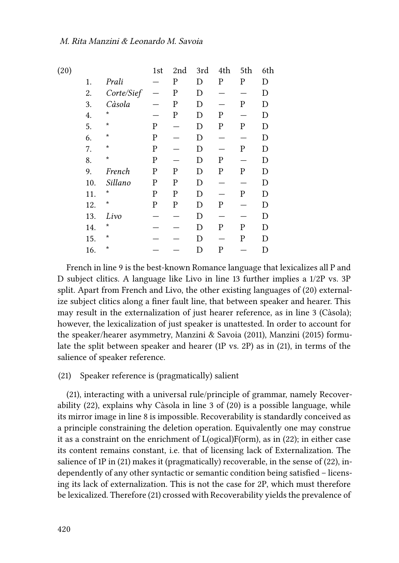| (20) |     |            | 1st         | 2nd         | 3rd         | 4th         | 5th          | 6th |
|------|-----|------------|-------------|-------------|-------------|-------------|--------------|-----|
|      | 1.  | Prali      |             | P           | D           | P           | P            | D   |
|      | 2.  | Corte/Sief |             | P           | D           |             |              | D   |
|      | 3.  | Càsola     |             | $\mathbf P$ | D           |             | $\mathbf P$  | D   |
|      | 4.  | $^\star$   |             | P           | D           | P           |              | D   |
|      | 5.  | $^\star$   | P           |             | D           | $\mathbf P$ | $\mathbf P$  | D   |
|      | 6.  | $^\star$   | ${\bf P}$   |             | D           |             |              | D   |
|      | 7.  | $^\star$   | P           |             | D           |             | P            | D   |
|      | 8.  | $\star$    | ${\bf P}$   |             | $\mathbf D$ | P           |              | D   |
|      | 9.  | French     | P           | P           | D           | P           | P            | D   |
|      | 10. | Sillano    | $\mathbf P$ | P           | D           |             |              | D   |
|      | 11. | $^\star$   | P           | P           | D           |             | $\mathbf{P}$ | D   |
|      | 12. | $\star$    | P           | P           | $\mathbf D$ | $\mathbf P$ |              | D   |
|      | 13. | Livo       |             |             | D           |             |              | D   |
|      | 14. | $^\star$   |             |             | D           | P           | P            | D   |
|      | 15. | $\star$    |             |             | D           |             | P            | D   |
|      | 16. | $\star$    |             |             | D           | P           |              | D   |
|      |     |            |             |             |             |             |              |     |

French in line 9 is the best-known Romance language that lexicalizes all P and D subject clitics. A language like Livo in line 13 further implies a 1/2P vs. 3P split. Apart from French and Livo, the other existing languages of([20](#page-16-1)) externalize subject clitics along a finer fault line, that between speaker and hearer. This may result in the externalization of just hearer reference, as in line 3 (Càsola); however, the lexicalization of just speaker is unattested. In order to account for the speaker/hearer asymmetry, [Manzini & Savoia \(2011\),](#page-30-7) [Manzini \(2015\)](#page-30-10) formulate the split between speaker and hearer (1P vs. 2P) as in [\(21](#page-17-0)), in terms of the salience of speaker reference.

#### <span id="page-17-0"></span>(21) Speaker reference is (pragmatically) salient

([21\)](#page-17-0), interacting with a universal rule/principle of grammar, namely Recoverability [\(22\)](#page-18-0), explains why Càsola in line 3 of [\(20\)](#page-16-1) is a possible language, while its mirror image in line 8 is impossible. Recoverability is standardly conceived as a principle constraining the deletion operation. Equivalently one may construe it as a constraint on the enrichment of L(ogical)F(orm), as in [\(22](#page-18-0)); in either case its content remains constant, i.e. that of licensing lack of Externalization. The salience of 1P in [\(21](#page-17-0)) makes it (pragmatically) recoverable, in the sense of([22](#page-18-0)), independently of any other syntactic or semantic condition being satisfied – licensing its lack of externalization. This is not the case for 2P, which must therefore be lexicalized. Therefore [\(21](#page-17-0)) crossed with Recoverability yields the prevalence of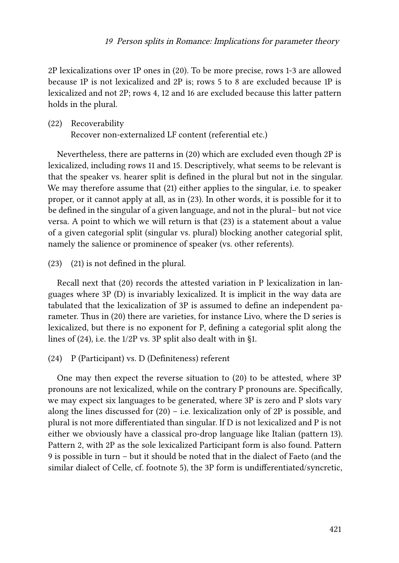2P lexicalizations over 1P ones in([20](#page-16-1)). To be more precise, rows 1-3 are allowed because 1P is not lexicalized and 2P is; rows 5 to 8 are excluded because 1P is lexicalized and not 2P; rows 4, 12 and 16 are excluded because this latter pattern holds in the plural.

#### <span id="page-18-0"></span>(22) Recoverability Recover non-externalized LF content (referential etc.)

Nevertheless, there are patterns in([20](#page-16-1)) which are excluded even though 2P is lexicalized, including rows 11 and 15. Descriptively, what seems to be relevant is that the speaker vs. hearer split is defined in the plural but not in the singular. We may therefore assume that [\(21](#page-17-0)) either applies to the singular, i.e. to speaker proper, or it cannot apply at all, as in([23](#page-18-1)). In other words, it is possible for it to be defined in the singular of a given language, and not in the plural– but not vice versa. A point to which we will return is that [\(23\)](#page-18-1) is a statement about a value of a given categorial split (singular vs. plural) blocking another categorial split, namely the salience or prominence of speaker (vs. other referents).

<span id="page-18-1"></span>(23) [\(21](#page-17-0)) is not defined in the plural.

Recall next that([20](#page-16-1)) records the attested variation in P lexicalization in languages where 3P (D) is invariably lexicalized. It is implicit in the way data are tabulated that the lexicalization of 3P is assumed to define an independent parameter. Thus in([20](#page-16-1)) there are varieties, for instance Livo, where the D series is lexicalized, but there is no exponent for P, defining a categorial split along the lines of([24](#page-18-2)), i.e. the 1/2P vs. 3P split also dealt with in [§1.](#page-1-0)

<span id="page-18-2"></span>(24) P (Participant) vs. D (Definiteness) referent

One may then expect the reverse situation to [\(20\)](#page-16-1) to be attested, where 3P pronouns are not lexicalized, while on the contrary P pronouns are. Specifically, we may expect six languages to be generated, where 3P is zero and P slots vary alongthe lines discussed for  $(20)$  $(20)$  $(20)$  – i.e. lexicalization only of 2P is possible, and plural is not more differentiated than singular. If D is not lexicalized and P is not either we obviously have a classical pro-drop language like Italian (pattern 13). Pattern 2, with 2P as the sole lexicalized Participant form is also found. Pattern 9 is possible in turn – but it should be noted that in the dialect of Faeto (and the similar dialect of Celle, cf. footnote [5](#page-11-2)), the 3P form is undifferentiated/syncretic,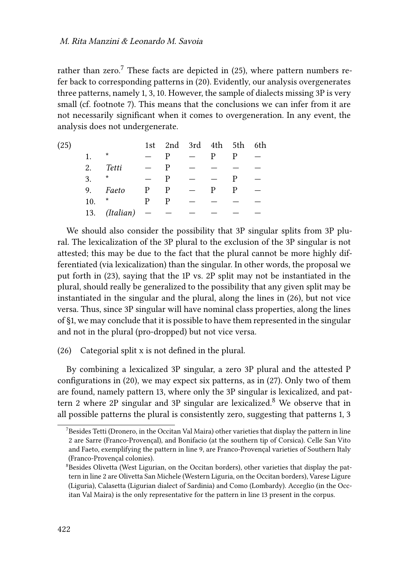rather than zero.<sup>7</sup> These facts are depicted in  $(25)$ , where pattern numbers refer back to corresponding patterns in [\(20](#page-16-1)). Evidently, our analysis overgenerates three patterns, namely 1, 3, 10. However, the sample of dialects missing 3P is very small (cf. footnote [7\)](#page-18-2). This means that the conclusions we can infer from it are not necessarily significant when it comes to overgeneration. In any event, the analysis does not undergenerate.

<span id="page-19-0"></span>

| (25) |     |               |                          | 1st 2nd 3rd 4th 5th 6th |                          |   |   |  |
|------|-----|---------------|--------------------------|-------------------------|--------------------------|---|---|--|
|      | 1.  | *             |                          |                         |                          | р |   |  |
|      | 2.  | Tetti         |                          | P                       |                          |   |   |  |
|      | 3.  | $\star$       |                          | P                       |                          |   | P |  |
|      |     | 9. Faeto      | $\mathbf{P}$             | $\overline{P}$          | $\overline{\phantom{a}}$ | P | P |  |
|      | 10. | *             | P                        | P                       |                          |   |   |  |
|      |     | 13. (Italian) | $\overline{\phantom{0}}$ |                         |                          |   |   |  |

We should also consider the possibility that 3P singular splits from 3P plural. The lexicalization of the 3P plural to the exclusion of the 3P singular is not attested; this may be due to the fact that the plural cannot be more highly differentiated (via lexicalization) than the singular. In other words, the proposal we put forth in [\(23](#page-18-1)), saying that the 1P vs. 2P split may not be instantiated in the plural, should really be generalized to the possibility that any given split may be instantiated in the singular and the plural, along the lines in [\(26\)](#page-19-1), but not vice versa. Thus, since 3P singular will have nominal class properties, along the lines of §[1](#page-1-0), we may conclude that it is possible to have them represented in the singular and not in the plural (pro-dropped) but not vice versa.

<span id="page-19-1"></span>(26) Categorial split x is not defined in the plural.

By combining a lexicalized 3P singular, a zero 3P plural and the attested P configurations in([20\)](#page-16-1), we may expect six patterns, as in([27\)](#page-20-0). Only two of them are found, namely pattern 13, where only the 3P singular is lexicalized, and pattern 2 where 2P singular and 3P singular are lexicalized.<sup>8</sup> We observe that in all possible patterns the plural is consistently zero, suggesting that patterns 1, 3

 $7$ Besides Tetti (Dronero, in the Occitan Val Maira) other varieties that display the pattern in line 2 are Sarre (Franco-Provençal), and Bonifacio (at the southern tip of Corsica). Celle San Vito and Faeto, exemplifying the pattern in line 9, are Franco-Provençal varieties of Southern Italy (Franco-Provençal colonies).

 $8$ Besides Olivetta (West Ligurian, on the Occitan borders), other varieties that display the pattern in line 2 are Olivetta San Michele (Western Liguria, on the Occitan borders), Varese Ligure (Liguria), Calasetta (Ligurian dialect of Sardinia) and Como (Lombardy). Acceglio (in the Occitan Val Maira) is the only representative for the pattern in line 13 present in the corpus.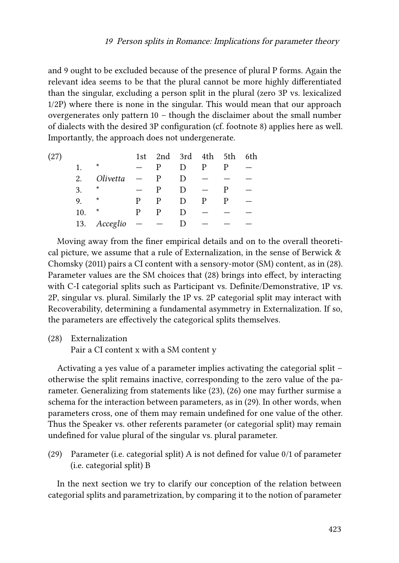and 9 ought to be excluded because of the presence of plural P forms. Again the relevant idea seems to be that the plural cannot be more highly differentiated than the singular, excluding a person split in the plural (zero 3P vs. lexicalized 1/2P) where there is none in the singular. This would mean that our approach overgenerates only pattern 10 – though the disclaimer about the small number of dialects with the desired 3P configuration (cf. footnote [8\)](#page-19-1) applies here as well. Importantly, the approach does not undergenerate.

<span id="page-20-0"></span>

| (27) |     |              |                          | 1st 2nd 3rd 4th 5th 6th |        |   |   |  |
|------|-----|--------------|--------------------------|-------------------------|--------|---|---|--|
|      | 1.  | $^\star$     |                          | р                       | D      | P |   |  |
|      | 2.  | Olivetta     | $\overline{\phantom{m}}$ | P                       | D      |   |   |  |
|      | 3.  | *            |                          | P                       | D      |   | р |  |
|      | 9.  | $^\ast$      | P                        | P                       | D      | P | P |  |
|      | 10. | $^\star$     | р                        | P                       | D      |   |   |  |
|      |     | 13. Acceglio |                          |                         | $\Box$ |   |   |  |

Moving away from the finer empirical details and on to the overall theoretical picture, we assume that a rule of Externalization, in the sense of Berwick  $\&$ [Chomsky \(2011\)](#page-28-3) pairs a CI content with a sensory-motor (SM) content, as in [\(28](#page-20-1)). Parameter values are the SM choices that([28](#page-20-1)) brings into effect, by interacting with C-I categorial splits such as Participant vs. Definite/Demonstrative, 1P vs. 2P, singular vs. plural. Similarly the 1P vs. 2P categorial split may interact with Recoverability, determining a fundamental asymmetry in Externalization. If so, the parameters are effectively the categorical splits themselves.

<span id="page-20-1"></span>(28) Externalization

Pair a CI content x with a SM content y

Activating a yes value of a parameter implies activating the categorial split – otherwise the split remains inactive, corresponding to the zero value of the parameter. Generalizing from statements like [\(23\)](#page-18-1),([26\)](#page-19-1) one may further surmise a schema for the interaction between parameters, as in([29](#page-20-2)). In other words, when parameters cross, one of them may remain undefined for one value of the other. Thus the Speaker vs. other referents parameter (or categorial split) may remain undefined for value plural of the singular vs. plural parameter.

<span id="page-20-2"></span>(29) Parameter (i.e. categorial split) A is not defined for value 0/1 of parameter (i.e. categorial split) B

In the next section we try to clarify our conception of the relation between categorial splits and parametrization, by comparing it to the notion of parameter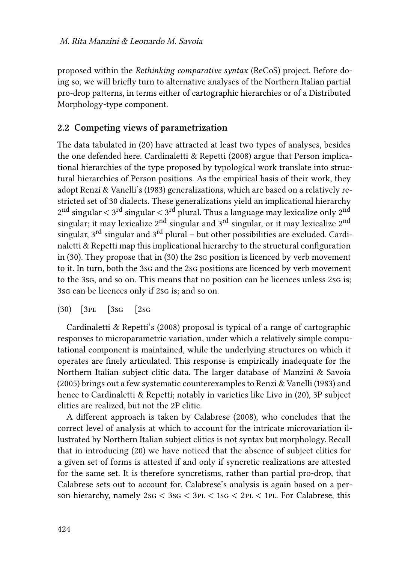proposed within the *Rethinking comparative syntax* (ReCoS) project. Before doing so, we will briefly turn to alternative analyses of the Northern Italian partial pro-drop patterns, in terms either of cartographic hierarchies or of a Distributed Morphology-type component.

#### **2.2 Competing views of parametrization**

The data tabulated in([20\)](#page-16-1) have attracted at least two types of analyses, besides the one defended here. [Cardinaletti & Repetti \(2008\)](#page-29-0) argue that Person implicational hierarchies of the type proposed by typological work translate into structural hierarchies of Person positions. As the empirical basis of their work, they adopt [Renzi & Vanelli'](#page-30-11)s (1983) generalizations, which are based on a relatively restricted set of 30 dialects. These generalizations yield an implicational hierarchy  $2^{\rm nd}$  singular  $<$  3 $^{\rm rd}$  singular  $<$  3 $^{\rm rd}$  plural. Thus a language may lexicalize only  $2^{\rm nd}$ singular; it may lexicalize  $2<sup>nd</sup>$  singular and  $3<sup>rd</sup>$  singular, or it may lexicalize  $2<sup>nd</sup>$ singular,  $3^{\text{rd}}$  singular and  $3^{\text{rd}}$  plural – but other possibilities are excluded. [Cardi](#page-29-0)[naletti & Repetti](#page-29-0) map this implicational hierarchy to the structural configuration in [\(30\)](#page-21-0). They propose that in([30](#page-21-0)) the 2sg position is licenced by verb movement to it. In turn, both the 3sg and the 2sg positions are licenced by verb movement to the 3sg, and so on. This means that no position can be licences unless 2sg is; 3sg can be licences only if 2sg is; and so on.

#### <span id="page-21-0"></span>(30) [3pl [3sg [2sg

[Cardinaletti & Repetti](#page-29-0)'s (2008) proposal is typical of a range of cartographic responses to microparametric variation, under which a relatively simple computational component is maintained, while the underlying structures on which it operates are finely articulated. This response is empirically inadequate for the Northern Italian subject clitic data. The larger database of [Manzini & Savoia](#page-30-0) [\(2005\)](#page-30-0) brings out a few systematic counterexamples to [Renzi & Vanelli \(1983\)](#page-30-11) and hence to [Cardinaletti & Repetti](#page-29-0); notably in varieties like Livo in [\(20\)](#page-16-1), 3P subject clitics are realized, but not the 2P clitic.

A different approach is taken by [Calabrese \(2008\),](#page-29-1) who concludes that the correct level of analysis at which to account for the intricate microvariation illustrated by Northern Italian subject clitics is not syntax but morphology. Recall that in introducing [\(20\)](#page-16-1) we have noticed that the absence of subject clitics for a given set of forms is attested if and only if syncretic realizations are attested for the same set. It is therefore syncretisms, rather than partial pro-drop, that Calabrese sets out to account for. Calabrese's analysis is again based on a person hierarchy, namely 2sg < 3sg < 3pl < 1sg < 2pl < 1pl. For Calabrese, this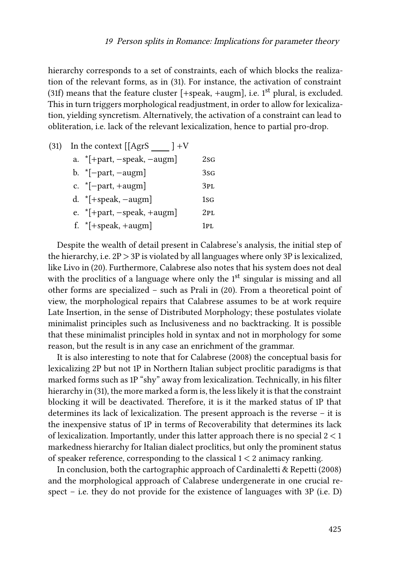hierarchy corresponds to a set of constraints, each of which blocks the realization of the relevant forms, as in([31\)](#page-22-0). For instance, the activation of constraint [\(31](#page-22-0)f) means that the feature cluster  $[+speak, +augm]$ , i.e. 1<sup>st</sup> plural, is excluded. This in turn triggers morphological readjustment, in order to allow for lexicalization, yielding syncretism. Alternatively, the activation of a constraint can lead to obliteration, i.e. lack of the relevant lexicalization, hence to partial pro-drop.

<span id="page-22-0"></span>

| (31) | In the context $\begin{bmatrix} [AgrS] \end{bmatrix} + V$ |                 |  |  |  |
|------|-----------------------------------------------------------|-----------------|--|--|--|
|      | a. $*$ [+part, -speak, -augm]                             | 2sG             |  |  |  |
|      | b. $*[-part, -augm]$                                      | 3sg             |  |  |  |
|      | c. $*[-part, +augm]$                                      | 3 <sub>PL</sub> |  |  |  |
|      | d. $*[+speak, -augm]$                                     | $1sfG}$         |  |  |  |
|      | e. $*$ [+part, -speak, +augm]                             | 2PL             |  |  |  |
|      | f. $*$ [+speak, +augm]                                    | 1рт.            |  |  |  |

Despite the wealth of detail present in Calabrese's analysis, the initial step of the hierarchy, i.e.  $2P > 3P$  is violated by all languages where only 3P is lexicalized, like Livo in [\(20\)](#page-16-1). Furthermore, Calabrese also notes that his system does not deal with the proclitics of a language where only the  $1<sup>st</sup>$  singular is missing and all other forms are specialized – such as Prali in [\(20\)](#page-16-1). From a theoretical point of view, the morphological repairs that Calabrese assumes to be at work require Late Insertion, in the sense of Distributed Morphology; these postulates violate minimalist principles such as Inclusiveness and no backtracking. It is possible that these minimalist principles hold in syntax and not in morphology for some reason, but the result is in any case an enrichment of the grammar.

It is also interesting to note that for [Calabrese \(2008\)](#page-29-1) the conceptual basis for lexicalizing 2P but not 1P in Northern Italian subject proclitic paradigms is that marked forms such as 1P "shy" away from lexicalization. Technically, in his filter hierarchy in [\(31](#page-22-0)), the more marked a form is, the less likely it is that the constraint blocking it will be deactivated. Therefore, it is it the marked status of 1P that determines its lack of lexicalization. The present approach is the reverse – it is the inexpensive status of 1P in terms of Recoverability that determines its lack of lexicalization. Importantly, under this latter approach there is no special 2 < 1 markedness hierarchy for Italian dialect proclitics, but only the prominent status of speaker reference, corresponding to the classical  $1 < 2$  animacy ranking.

In conclusion, both the cartographic approach of [Cardinaletti & Repetti \(2008\)](#page-29-0) and the morphological approach of Calabrese undergenerate in one crucial respect – i.e. they do not provide for the existence of languages with 3P (i.e. D)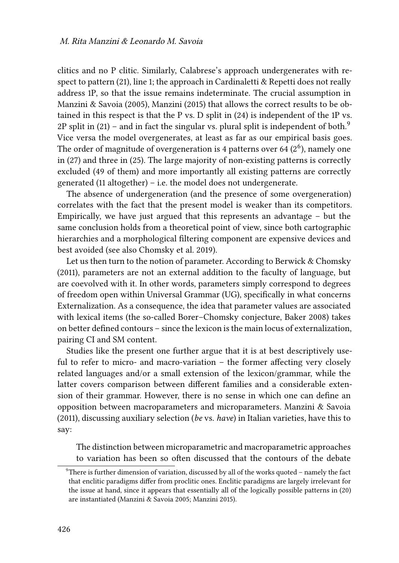clitics and no P clitic. Similarly, Calabrese's approach undergenerates with respect to pattern([21](#page-17-0)), line 1; the approach in [Cardinaletti & Repetti](#page-29-0) does not really address 1P, so that the issue remains indeterminate. The crucial assumption in [Manzini & Savoia \(2005\)](#page-30-0), [Manzini \(2015\)](#page-30-10) that allows the correct results to be obtained in this respect is that the P vs. D split in [\(24\)](#page-18-2) is independent of the 1P vs. 2P split in  $(21)$  – and in fact the singular vs. plural split is independent of both.<sup>9</sup> Vice versa the model overgenerates, at least as far as our empirical basis goes. The order of magnitude of overgeneration is 4 patterns over 64  $(2^6)$ , namely one in [\(27](#page-20-0)) and three in [\(25](#page-19-0)). The large majority of non-existing patterns is correctly excluded (49 of them) and more importantly all existing patterns are correctly generated (11 altogether) – i.e. the model does not undergenerate.

The absence of undergeneration (and the presence of some overgeneration) correlates with the fact that the present model is weaker than its competitors. Empirically, we have just argued that this represents an advantage – but the same conclusion holds from a theoretical point of view, since both cartographic hierarchies and a morphological filtering component are expensive devices and best avoided (see also [Chomsky et al. 2019\)](#page-29-16).

Let us then turn to the notion of parameter. According to Berwick  $& Chomsky$ [\(2011\)](#page-28-3), parameters are not an external addition to the faculty of language, but are coevolved with it. In other words, parameters simply correspond to degrees of freedom open within Universal Grammar (UG), specifically in what concerns Externalization. As a consequence, the idea that parameter values are associated with lexical items (the so-called Borer–Chomsky conjecture, [Baker 2008](#page-28-4)) takes on better defined contours – since the lexicon is the main locus of externalization, pairing CI and SM content.

Studies like the present one further argue that it is at best descriptively useful to refer to micro- and macro-variation – the former affecting very closely related languages and/or a small extension of the lexicon/grammar, while the latter covers comparison between different families and a considerable extension of their grammar. However, there is no sense in which one can define an opposition between macroparameters and microparameters. [Manzini & Savoia](#page-30-7) [\(2011\)](#page-30-7), discussing auxiliary selection (*be* vs. *have*) in Italian varieties, have this to say:

The distinction between microparametric and macroparametric approaches to variation has been so often discussed that the contours of the debate

<sup>9</sup>There is further dimension of variation, discussed by all of the works quoted – namely the fact that enclitic paradigms differ from proclitic ones. Enclitic paradigms are largely irrelevant for the issue at hand, since it appears that essentially all of the logically possible patterns in([20\)](#page-16-1) are instantiated([Manzini & Savoia 2005;](#page-30-0) [Manzini 2015](#page-30-10)).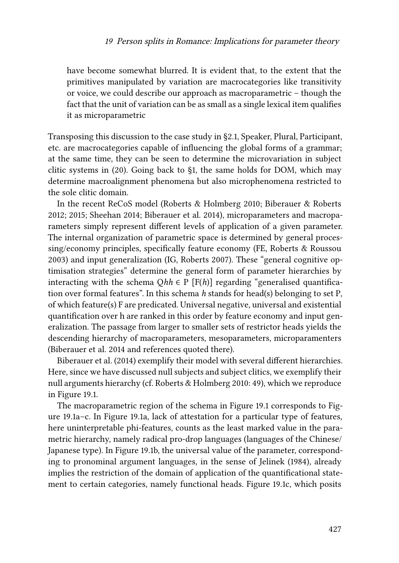have become somewhat blurred. It is evident that, to the extent that the primitives manipulated by variation are macrocategories like transitivity or voice, we could describe our approach as macroparametric – though the fact that the unit of variation can be as small as a single lexical item qualifies it as microparametric

Transposing this discussion to the case study in [§2.1,](#page-16-2) Speaker, Plural, Participant, etc. are macrocategories capable of influencing the global forms of a grammar; at the same time, they can be seen to determine the microvariation in subject clitic systems in([20](#page-16-1)). Going back to [§1](#page-1-0), the same holds for DOM, which may determine macroalignment phenomena but also microphenomena restricted to the sole clitic domain.

In the recent ReCoS model [\(Roberts & Holmberg 2010](#page-30-12); [Biberauer & Roberts](#page-28-5) [2012;](#page-28-5) [2015;](#page-28-6) [Sheehan 2014](#page-30-13); [Biberauer et al. 2014\)](#page-28-7), microparameters and macroparameters simply represent different levels of application of a given parameter. The internal organization of parametric space is determined by general processing/economy principles, specifically feature economy (FE, [Roberts & Roussou](#page-30-14) [2003](#page-30-14)) and input generalization (IG, [Roberts 2007](#page-30-15)). These "general cognitive optimisation strategies" determine the general form of parameter hierarchies by interacting with the schema  $Qhh \in P$  [F(h)] regarding "generalised quantification over formal features". In this schema *h* stands for head(s) belonging to set P, of which feature(s) F are predicated. Universal negative, universal and existential quantification over h are ranked in this order by feature economy and input generalization. The passage from larger to smaller sets of restrictor heads yields the descending hierarchy of macroparameters, mesoparameters, microparamenters [\(Biberauer et al. 2014](#page-28-7) and references quoted there).

[Biberauer et al. \(2014\)](#page-28-7) exemplify their model with several different hierarchies. Here, since we have discussed null subjects and subject clitics, we exemplify their null arguments hierarchy (cf. [Roberts & Holmberg 2010](#page-30-12): 49), which we reproduce in Figure [19.1](#page-25-0).

The macroparametric region of the schema in Figure [19.1](#page-25-0) corresponds to Figure [19.1a](#page-25-0)–c. In Figure [19.1a](#page-25-0), lack of attestation for a particular type of features, here uninterpretable phi-features, counts as the least marked value in the parametric hierarchy, namely radical pro-drop languages (languages of the Chinese/ Japanese type). In Figure [19.1b](#page-25-0), the universal value of the parameter, corresponding to pronominal argument languages, in the sense of [Jelinek \(1984\),](#page-29-17) already implies the restriction of the domain of application of the quantificational statement to certain categories, namely functional heads. Figure [19.1](#page-25-0)c, which posits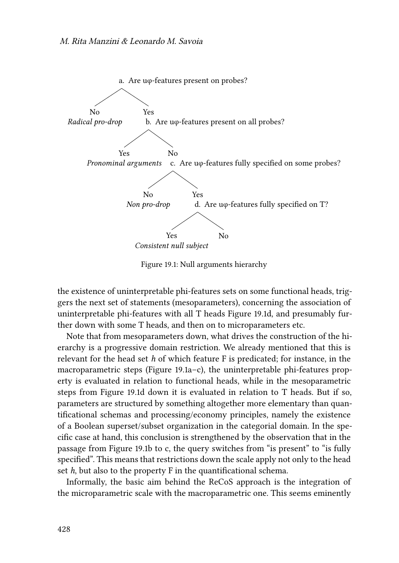<span id="page-25-0"></span>

Figure 19.1: Null arguments hierarchy

the existence of uninterpretable phi-features sets on some functional heads, triggers the next set of statements (mesoparameters), concerning the association of uninterpretable phi-features with all T heads Figure [19.1](#page-25-0)d, and presumably further down with some T heads, and then on to microparameters etc.

Note that from mesoparameters down, what drives the construction of the hierarchy is a progressive domain restriction. We already mentioned that this is relevant for the head set *h* of which feature F is predicated; for instance, in the macroparametric steps (Figure [19.1a](#page-25-0)–c), the uninterpretable phi-features property is evaluated in relation to functional heads, while in the mesoparametric steps from Figure [19.1](#page-25-0)d down it is evaluated in relation to T heads. But if so, parameters are structured by something altogether more elementary than quantificational schemas and processing/economy principles, namely the existence of a Boolean superset/subset organization in the categorial domain. In the specific case at hand, this conclusion is strengthened by the observation that in the passage from Figure [19.1b](#page-25-0) to c, the query switches from "is present" to "is fully specified". This means that restrictions down the scale apply not only to the head set *h*, but also to the property F in the quantificational schema.

Informally, the basic aim behind the ReCoS approach is the integration of the microparametric scale with the macroparametric one. This seems eminently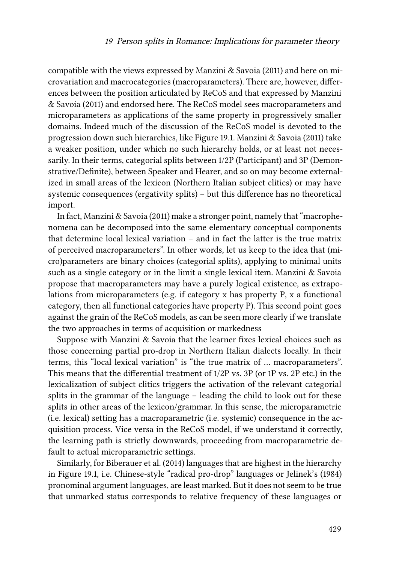compatible with the views expressed by [Manzini & Savoia \(2011\)](#page-30-7) and here on microvariation and macrocategories (macroparameters). There are, however, differences between the position articulated by ReCoS and that expressed by [Manzini](#page-30-7) [& Savoia \(2011\)](#page-30-7) and endorsed here. The ReCoS model sees macroparameters and microparameters as applications of the same property in progressively smaller domains. Indeed much of the discussion of the ReCoS model is devoted to the progression down such hierarchies, like Figure [19.1.](#page-25-0) [Manzini & Savoia \(2011\)](#page-30-7) take a weaker position, under which no such hierarchy holds, or at least not necessarily. In their terms, categorial splits between 1/2P (Participant) and 3P (Demonstrative/Definite), between Speaker and Hearer, and so on may become externalized in small areas of the lexicon (Northern Italian subject clitics) or may have systemic consequences (ergativity splits) – but this difference has no theoretical import.

In fact, [Manzini & Savoia \(2011\)](#page-30-7) make a stronger point, namely that "macrophenomena can be decomposed into the same elementary conceptual components that determine local lexical variation – and in fact the latter is the true matrix of perceived macroparameters". In other words, let us keep to the idea that (micro)parameters are binary choices (categorial splits), applying to minimal units such as a single category or in the limit a single lexical item. [Manzini & Savoia](#page-30-7) propose that macroparameters may have a purely logical existence, as extrapolations from microparameters (e.g. if category x has property P, x a functional category, then all functional categories have property P). This second point goes against the grain of the ReCoS models, as can be seen more clearly if we translate the two approaches in terms of acquisition or markedness

Suppose with [Manzini & Savoia](#page-30-7) that the learner fixes lexical choices such as those concerning partial pro-drop in Northern Italian dialects locally. In their terms, this "local lexical variation" is "the true matrix of … macroparameters". This means that the differential treatment of 1/2P vs. 3P (or 1P vs. 2P etc.) in the lexicalization of subject clitics triggers the activation of the relevant categorial splits in the grammar of the language – leading the child to look out for these splits in other areas of the lexicon/grammar. In this sense, the microparametric (i.e. lexical) setting has a macroparametric (i.e. systemic) consequence in the acquisition process. Vice versa in the ReCoS model, if we understand it correctly, the learning path is strictly downwards, proceeding from macroparametric default to actual microparametric settings.

Similarly, for [Biberauer et al. \(2014\)](#page-28-7) languages that are highest in the hierarchy in Figure [19.1](#page-25-0), i.e. Chinese-style "radical pro-drop" languages or [Jelinek'](#page-29-17)s (1984) pronominal argument languages, are least marked. But it does not seem to be true that unmarked status corresponds to relative frequency of these languages or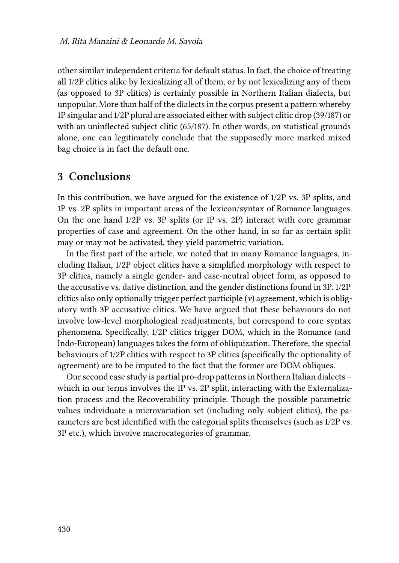other similar independent criteria for default status. In fact, the choice of treating all 1/2P clitics alike by lexicalizing all of them, or by not lexicalizing any of them (as opposed to 3P clitics) is certainly possible in Northern Italian dialects, but unpopular. More than half of the dialects in the corpus present a pattern whereby 1P singular and 1/2P plural are associated either with subject clitic drop (39/187) or with an uninflected subject clitic (65/187). In other words, on statistical grounds alone, one can legitimately conclude that the supposedly more marked mixed bag choice is in fact the default one.

## **3 Conclusions**

In this contribution, we have argued for the existence of 1/2P vs. 3P splits, and 1P vs. 2P splits in important areas of the lexicon/syntax of Romance languages. On the one hand 1/2P vs. 3P splits (or 1P vs. 2P) interact with core grammar properties of case and agreement. On the other hand, in so far as certain split may or may not be activated, they yield parametric variation.

In the first part of the article, we noted that in many Romance languages, including Italian, 1/2P object clitics have a simplified morphology with respect to 3P clitics, namely a single gender- and case-neutral object form, as opposed to the accusative vs. dative distinction, and the gender distinctions found in 3P. 1/2P clitics also only optionally trigger perfect participle (*v*) agreement, which is obligatory with 3P accusative clitics. We have argued that these behaviours do not involve low-level morphological readjustments, but correspond to core syntax phenomena. Specifically, 1/2P clitics trigger DOM, which in the Romance (and Indo-European) languages takes the form of obliquization. Therefore, the special behaviours of 1/2P clitics with respect to 3P clitics (specifically the optionality of agreement) are to be imputed to the fact that the former are DOM obliques.

Our second case study is partial pro-drop patterns in Northern Italian dialects – which in our terms involves the 1P vs. 2P split, interacting with the Externalization process and the Recoverability principle. Though the possible parametric values individuate a microvariation set (including only subject clitics), the parameters are best identified with the categorial splits themselves (such as 1/2P vs. 3P etc.), which involve macrocategories of grammar.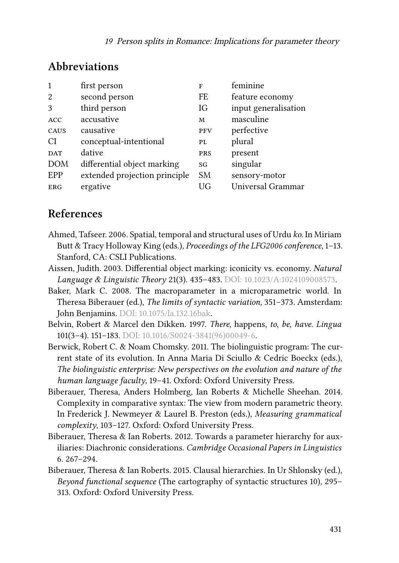| $\mathbf{1}$  | first person                  | F          | feminine             |
|---------------|-------------------------------|------------|----------------------|
| 2             | second person                 | FE         | feature economy      |
| $\mathcal{R}$ | third person                  | IG         | input generalisation |
| <b>ACC</b>    | accusative                    | M          | masculine            |
| CAUS          | causative                     | <b>PFV</b> | perfective           |
| CI            | conceptual-intentional        | PL         | plural               |
| <b>DAT</b>    | dative                        | <b>PRS</b> | present              |
| <b>DOM</b>    | differential object marking   | SG         | singular             |
| EPP           | extended projection principle | <b>SM</b>  | sensory-motor        |
| <b>ERG</b>    | ergative                      | UG         | Universal Grammar    |

# **Abbreviations**

# **References**

- <span id="page-28-2"></span>Ahmed, Tafseer. 2006. Spatial, temporal and structural uses of Urdu *ko*. In Miriam Butt & Tracy Holloway King (eds.), *Proceedings of the LFG2006 conference*, 1–13. Stanford, CA: CSLI Publications.
- <span id="page-28-0"></span>Aissen, Judith. 2003. Differential object marking: iconicity vs. economy. *Natural Language & Linguistic Theory* 21(3). 435–483. DOI: [10.1023/A:1024109008573](https://doi.org/10.1023/A:1024109008573).
- <span id="page-28-4"></span>Baker, Mark C. 2008. The macroparameter in a microparametric world. In Theresa Biberauer (ed.), *The limits of syntactic variation*, 351–373. Amsterdam: John Benjamins. DOI: [10.1075/la.132.16bak](https://doi.org/10.1075/la.132.16bak).
- <span id="page-28-1"></span>Belvin, Robert & Marcel den Dikken. 1997. *There*, happens, *to*, *be*, *have*. *Lingua* 101(3–4). 151–183. DOI: [10.1016/S0024-3841\(96\)00049-6](https://doi.org/10.1016/S0024-3841(96)00049-6).
- <span id="page-28-3"></span>Berwick, Robert C. & Noam Chomsky. 2011. The biolinguistic program: The current state of its evolution. In Anna Maria Di Sciullo & Cedric Boeckx (eds.), *The biolinguistic enterprise: New perspectives on the evolution and nature of the human language faculty*, 19–41. Oxford: Oxford University Press.
- <span id="page-28-7"></span>Biberauer, Theresa, Anders Holmberg, Ian Roberts & Michelle Sheehan. 2014. Complexity in comparative syntax: The view from modern parametric theory. In Frederick J. Newmeyer & Laurel B. Preston (eds.), *Measuring grammatical complexity*, 103–127. Oxford: Oxford University Press.
- <span id="page-28-5"></span>Biberauer, Theresa & Ian Roberts. 2012. Towards a parameter hierarchy for auxiliaries: Diachronic considerations. *Cambridge Occasional Papers in Linguistics* 6. 267–294.
- <span id="page-28-6"></span>Biberauer, Theresa & Ian Roberts. 2015. Clausal hierarchies. In Ur Shlonsky (ed.), *Beyond functional sequence* (The cartography of syntactic structures 10), 295– 313. Oxford: Oxford University Press.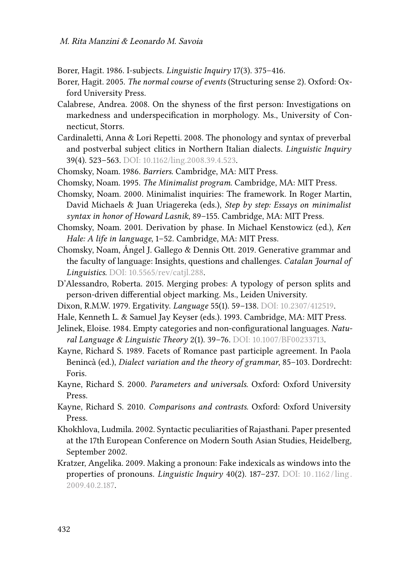<span id="page-29-13"></span>Borer, Hagit. 1986. I-subjects. *Linguistic Inquiry* 17(3). 375–416.

- <span id="page-29-4"></span>Borer, Hagit. 2005. *The normal course of events* (Structuring sense 2). Oxford: Oxford University Press.
- <span id="page-29-1"></span>Calabrese, Andrea. 2008. On the shyness of the first person: Investigations on markedness and underspecification in morphology. Ms., University of Connecticut, Storrs.
- <span id="page-29-0"></span>Cardinaletti, Anna & Lori Repetti. 2008. The phonology and syntax of preverbal and postverbal subject clitics in Northern Italian dialects. *Linguistic Inquiry* 39(4). 523–563. DOI: [10.1162/ling.2008.39.4.523.](https://doi.org/10.1162/ling.2008.39.4.523)
- <span id="page-29-9"></span>Chomsky, Noam. 1986. *Barriers*. Cambridge, MA: MIT Press.
- <span id="page-29-8"></span>Chomsky, Noam. 1995. *The Minimalist program*. Cambridge, MA: MIT Press.
- <span id="page-29-11"></span>Chomsky, Noam. 2000. Minimalist inquiries: The framework. In Roger Martin, David Michaels & Juan Uriagereka (eds.), *Step by step: Essays on minimalist syntax in honor of Howard Lasnik*, 89–155. Cambridge, MA: MIT Press.
- <span id="page-29-12"></span>Chomsky, Noam. 2001. Derivation by phase. In Michael Kenstowicz (ed.), *Ken Hale: A life in language*, 1–52. Cambridge, MA: MIT Press.
- <span id="page-29-16"></span>Chomsky, Noam, Ángel J. Gallego & Dennis Ott. 2019. Generative grammar and the faculty of language: Insights, questions and challenges. *Catalan Journal of Linguistics*. DOI: [10.5565/rev/catjl.288.](https://doi.org/10.5565/rev/catjl.288)
- <span id="page-29-10"></span>D'Alessandro, Roberta. 2015. Merging probes: A typology of person splits and person-driven differential object marking. Ms., Leiden University.
- <span id="page-29-6"></span>Dixon, R.M.W. 1979. Ergativity. *Language* 55(1). 59–138. DOI: [10.2307/412519](https://doi.org/10.2307/412519).
- <span id="page-29-7"></span>Hale, Kenneth L. & Samuel Jay Keyser (eds.). 1993. Cambridge, MA: MIT Press.
- <span id="page-29-17"></span>Jelinek, Eloise. 1984. Empty categories and non-configurational languages. *Natural Language & Linguistic Theory* 2(1). 39–76. DOI: [10.1007/BF00233713](https://doi.org/10.1007/BF00233713).
- <span id="page-29-2"></span>Kayne, Richard S. 1989. Facets of Romance past participle agreement. In Paola Benincà (ed.), *Dialect variation and the theory of grammar*, 85–103. Dordrecht: Foris.
- <span id="page-29-15"></span>Kayne, Richard S. 2000. *Parameters and universals*. Oxford: Oxford University Press.
- <span id="page-29-3"></span>Kayne, Richard S. 2010. *Comparisons and contrasts*. Oxford: Oxford University Press.
- <span id="page-29-14"></span>Khokhlova, Ludmila. 2002. Syntactic peculiarities of Rajasthani. Paper presented at the 17th European Conference on Modern South Asian Studies, Heidelberg, September 2002.
- <span id="page-29-5"></span>Kratzer, Angelika. 2009. Making a pronoun: Fake indexicals as windows into the properties of pronouns. *Linguistic Inquiry* 40(2). 187–237. DOI: [10 . 1162 /ling .](https://doi.org/10.1162/ling.2009.40.2.187) [2009.40.2.187](https://doi.org/10.1162/ling.2009.40.2.187).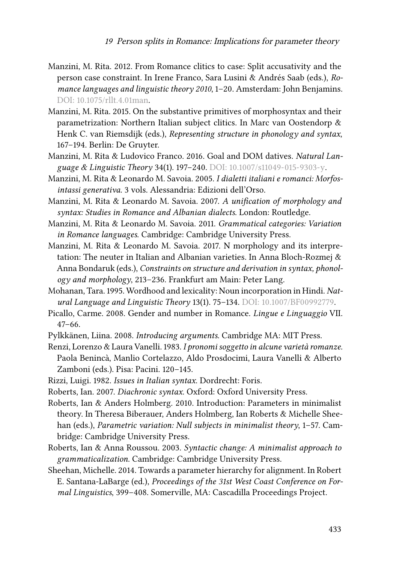- <span id="page-30-1"></span>Manzini, M. Rita. 2012. From Romance clitics to case: Split accusativity and the person case constraint. In Irene Franco, Sara Lusini & Andrés Saab (eds.), *Romance languages and linguistic theory 2010*, 1–20. Amsterdam: John Benjamins. DOI: [10.1075/rllt.4.01man](https://doi.org/10.1075/rllt.4.01man).
- <span id="page-30-10"></span>Manzini, M. Rita. 2015. On the substantive primitives of morphosyntax and their parametrization: Northern Italian subject clitics. In Marc van Oostendorp & Henk C. van Riemsdijk (eds.), *Representing structure in phonology and syntax*, 167–194. Berlin: De Gruyter.
- <span id="page-30-2"></span>Manzini, M. Rita & Ludovico Franco. 2016. Goal and DOM datives. *Natural Language & Linguistic Theory* 34(1). 197–240. DOI: [10.1007/s11049-015-9303-y.](https://doi.org/10.1007/s11049-015-9303-y)
- <span id="page-30-0"></span>Manzini, M. Rita & Leonardo M. Savoia. 2005. *I dialetti italiani e romanci: Morfosintassi generativa*. 3 vols. Alessandria: Edizioni dell'Orso.
- <span id="page-30-6"></span>Manzini, M. Rita & Leonardo M. Savoia. 2007. *A unification of morphology and syntax: Studies in Romance and Albanian dialects*. London: Routledge.
- <span id="page-30-7"></span>Manzini, M. Rita & Leonardo M. Savoia. 2011. *Grammatical categories: Variation in Romance languages*. Cambridge: Cambridge University Press.
- <span id="page-30-8"></span>Manzini, M. Rita & Leonardo M. Savoia. 2017. N morphology and its interpretation: The neuter in Italian and Albanian varieties. In Anna Bloch-Rozmej & Anna Bondaruk (eds.), *Constraints on structure and derivation in syntax, phonology and morphology*, 213–236. Frankfurt am Main: Peter Lang.
- <span id="page-30-9"></span>Mohanan, Tara. 1995. Wordhood and lexicality: Noun incorporation in Hindi. *Natural Language and Linguistic Theory* 13(1). 75–134. DOI: [10.1007/BF00992779.](https://doi.org/10.1007/BF00992779)
- <span id="page-30-3"></span>Picallo, Carme. 2008. Gender and number in Romance. *Lingue e Linguaggio* VII. 47–66.
- <span id="page-30-4"></span>Pylkkänen, Liina. 2008. *Introducing arguments*. Cambridge MA: MIT Press.
- <span id="page-30-11"></span>Renzi, Lorenzo & Laura Vanelli. 1983. *I pronomi soggetto in alcune varietà romanze*. Paola Benincà, Manlio Cortelazzo, Aldo Prosdocimi, Laura Vanelli & Alberto Zamboni (eds.). Pisa: Pacini. 120–145.
- <span id="page-30-5"></span>Rizzi, Luigi. 1982. *Issues in Italian syntax*. Dordrecht: Foris.
- <span id="page-30-15"></span>Roberts, Ian. 2007. *Diachronic syntax*. Oxford: Oxford University Press.
- <span id="page-30-12"></span>Roberts, Ian & Anders Holmberg. 2010. Introduction: Parameters in minimalist theory. In Theresa Biberauer, Anders Holmberg, Ian Roberts & Michelle Sheehan (eds.), *Parametric variation: Null subjects in minimalist theory*, 1–57. Cambridge: Cambridge University Press.
- <span id="page-30-14"></span>Roberts, Ian & Anna Roussou. 2003. *Syntactic change: A minimalist approach to grammaticalization*. Cambridge: Cambridge University Press.
- <span id="page-30-13"></span>Sheehan, Michelle. 2014. Towards a parameter hierarchy for alignment. In Robert E. Santana-LaBarge (ed.), *Proceedings of the 31st West Coast Conference on Formal Linguistics*, 399–408. Somerville, MA: Cascadilla Proceedings Project.